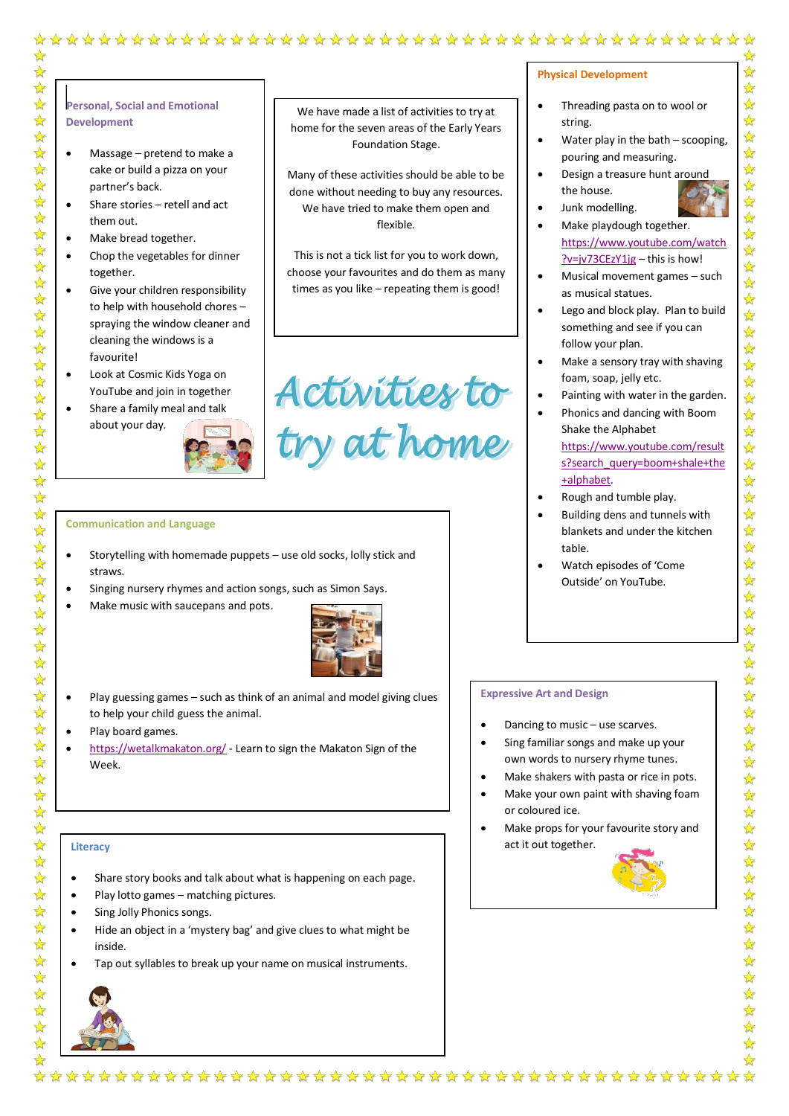## **Personal, Social and Emotional Development**

✿ ☆ 55年

 $\frac{1}{\sqrt{2}}$ 

☆

 $\frac{1}{2}$ 

 $\frac{1}{\sqrt{2}}$ 

 $\frac{1}{\sqrt{2}}$ 

\*\*\*\*\*\*\*\*\*\*\*\*\*\*\*\*\*

 $\mathbf{r}$ 

 $\frac{1}{2}$ 

 $\frac{1}{\sqrt{2}}$ 

☆

 $\frac{1}{\sqrt{2}}$  $\frac{1}{2}$ 

外外外外外

555  $\frac{1}{\sqrt{2}}$  $\frac{1}{2}$ 

 $\frac{1}{\sqrt{2}}$ 

 $\frac{1}{\sqrt{2}}$ 

 $\frac{1}{\sqrt{2}}$ 

琴琴)

 $\frac{1}{\sqrt{2}}$ 

 $\frac{1}{\sqrt{2}}$  $\frac{1}{\sqrt{2}}$  $\frac{1}{\sqrt{2}}$  $\frac{1}{\sqrt{2}}$  $\frac{1}{\sqrt{2}}$ 

 $\frac{1}{\sqrt{2}}$  $\sum_{i=1}^{n}$  $\frac{1}{\sqrt{2}}$ 55年

路外  $\frac{1}{\sqrt{2}}$  $\frac{1}{\sqrt{2}}$ 

 $\frac{1}{\sqrt{2}}$ 

☆

- Massage pretend to make a cake or build a pizza on your partner's back.
- Share stories retell and act them out.
- Make bread together.
- Chop the vegetables for dinner together.
- Give your children responsibility to help with household chores – spraying the window cleaner and cleaning the windows is a favourite!
- Look at Cosmic Kids Yoga on YouTube and join in together
- Share a family meal and talk about your day.



### We have made a list of activities to try at home for the seven areas of the Early Years Foundation Stage.

Many of these activities should be able to be done without needing to buy any resources. We have tried to make them open and flexible.

This is not a tick list for you to work down, choose your favourites and do them as many times as you like – repeating them is good!

# Activities to<br>try at home

#### **Communication and Language**

- Storytelling with homemade puppets use old socks, lolly stick and straws.
- Singing nursery rhymes and action songs, such as Simon Says.
- Make music with saucepans and pots.



- Play guessing games such as think of an animal and model giving clues to help your child guess the animal.
- Play board games.
- <https://wetalkmakaton.org/> Learn to sign the Makaton Sign of the Week.

#### **Literacy**

- Share story books and talk about what is happening on each page.
- Play lotto games matching pictures.
- Sing Jolly Phonics songs.
- Hide an object in a 'mystery bag' and give clues to what might be inside.
- Tap out syllables to break up your name on musical instruments.



# **Physical Development**

- Threading pasta on to wool or string.
- Water play in the bath scooping, pouring and measuring.
	- Design a treasure hunt around the house.
	- Junk modelling.
- Make playdough together. [https://www.youtube.com/watch](https://www.youtube.com/watch?v=jv73CEzY1jg)  $?v=iv73CEzY1jg - this$  is how!
- Musical movement games such as musical statues.
- Lego and block play. Plan to build something and see if you can follow your plan.
- Make a sensory tray with shaving foam, soap, jelly etc.
- Painting with water in the garden.
- Phonics and dancing with Boom Shake the Alphabet

[https://www.youtube.com/result](https://www.youtube.com/results?search_query=boom+shale+the+alphabet) [s?search\\_query=boom+shale+the](https://www.youtube.com/results?search_query=boom+shale+the+alphabet) [+alphabet.](https://www.youtube.com/results?search_query=boom+shale+the+alphabet)

- Rough and tumble play.
- Building dens and tunnels with blankets and under the kitchen table.
- Watch episodes of 'Come Outside' on YouTube.

#### **Expressive Art and Design**

- Dancing to music use scarves.
- Sing familiar songs and make up your own words to nursery rhyme tunes.
- Make shakers with pasta or rice in pots.
- Make your own paint with shaving foam or coloured ice.
- Make props for your favourite story and act it out together.